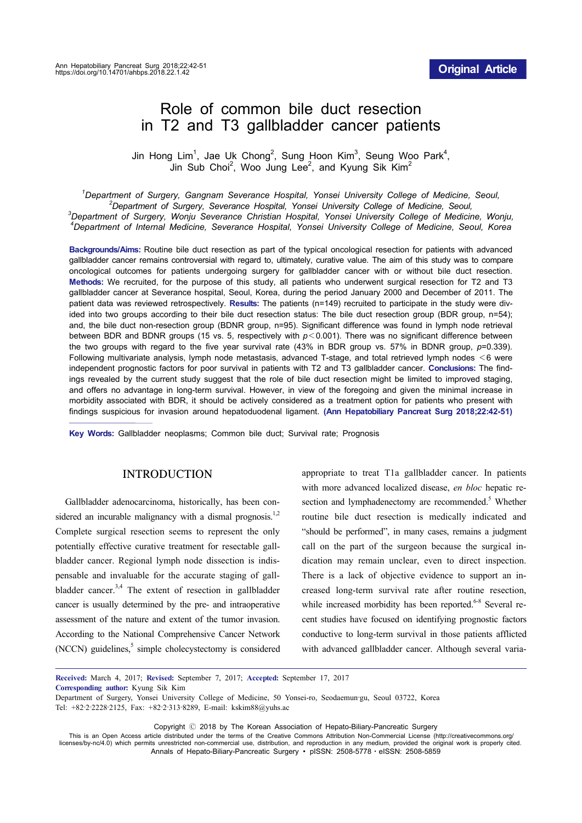# Role of common bile duct resection in T2 and T3 gallbladder cancer patients

Jin Hong Lim<sup>1</sup>, Jae Uk Chong<sup>2</sup>, Sung Hoon Kim<sup>3</sup>, Seung Woo Park<sup>4</sup>, Jin Sub Choi<sup>2</sup>, Woo Jung Lee<sup>2</sup>, and Kyung Sik Kim<sup>2</sup>

*1 Department of Surgery, Gangnam Severance Hospital, Yonsei University College of Medicine, Seoul, <sup>2</sup> Department of Surgery, Severance Hospital, Yonsei University College of Medicine, Seoul, <sup>3</sup> Department of Surgery, Wonju Severance Christian Hospital, Yonsei University College of Medicine, Wonju, 4 Department of Internal Medicine, Severance Hospital, Yonsei University College of Medicine, Seoul, Korea*

**Backgrounds/Aims:** Routine bile duct resection as part of the typical oncological resection for patients with advanced gallbladder cancer remains controversial with regard to, ultimately, curative value. The aim of this study was to compare oncological outcomes for patients undergoing surgery for gallbladder cancer with or without bile duct resection. **Methods:** We recruited, for the purpose of this study, all patients who underwent surgical resection for T2 and T3 gallbladder cancer at Severance hospital, Seoul, Korea, during the period January 2000 and December of 2011. The patient data was reviewed retrospectively. **Results:** The patients (n=149) recruited to participate in the study were divided into two groups according to their bile duct resection status: The bile duct resection group (BDR group, n=54); and, the bile duct non-resection group (BDNR group, n=95). Significant difference was found in lymph node retrieval between BDR and BDNR groups (15 vs. 5, respectively with *p*<0.001). There was no significant difference between the two groups with regard to the five year survival rate (43% in BDR group vs. 57% in BDNR group, *p*=0.339). Following multivariate analysis, lymph node metastasis, advanced T-stage, and total retrieved lymph nodes <6 were independent prognostic factors for poor survival in patients with T2 and T3 gallbladder cancer. **Conclusions:** The findings revealed by the current study suggest that the role of bile duct resection might be limited to improved staging, and offers no advantage in long-term survival. However, in view of the foregoing and given the minimal increase in morbidity associated with BDR, it should be actively considered as a treatment option for patients who present with findings suspicious for invasion around hepatoduodenal ligament. **(Ann Hepatobiliary Pancreat Surg 2018;22:42-51)**

**Key Words:** Gallbladder neoplasms; Common bile duct; Survival rate; Prognosis

### INTRODUCTION

Gallbladder adenocarcinoma, historically, has been considered an incurable malignancy with a dismal prognosis.<sup>1,2</sup> Complete surgical resection seems to represent the only potentially effective curative treatment for resectable gallbladder cancer. Regional lymph node dissection is indispensable and invaluable for the accurate staging of gallbladder cancer.<sup>3,4</sup> The extent of resection in gallbladder cancer is usually determined by the pre- and intraoperative assessment of the nature and extent of the tumor invasion. According to the National Comprehensive Cancer Network  $(NCCN)$  guidelines,<sup>5</sup> simple cholecystectomy is considered

appropriate to treat T1a gallbladder cancer. In patients with more advanced localized disease, *en bloc* hepatic resection and lymphadenectomy are recommended.<sup>5</sup> Whether routine bile duct resection is medically indicated and "should be performed", in many cases, remains a judgment call on the part of the surgeon because the surgical indication may remain unclear, even to direct inspection. There is a lack of objective evidence to support an increased long-term survival rate after routine resection, while increased morbidity has been reported.<sup>6-8</sup> Several recent studies have focused on identifying prognostic factors conductive to long-term survival in those patients afflicted with advanced gallbladder cancer. Although several varia-

**Received:** March 4, 2017; **Revised:** September 7, 2017; **Accepted:** September 17, 2017

**Corresponding author:** Kyung Sik Kim

Copyright Ⓒ 2018 by The Korean Association of Hepato-Biliary-Pancreatic Surgery

This is an Open Access article distributed under the terms of the Creative Commons Attribution Non-Commercial License (http://creativecommons.org/ licenses/by-nc/4.0) which permits unrestricted non-commercial use, distribution, and reproduction in any medium, provided the original work is properly cited. Annals of Hepato-Biliary-Pancreatic Surgery ∙ pISSN: 2508-5778ㆍeISSN: 2508-5859

Department of Surgery, Yonsei University College of Medicine, 50 Yonsei-ro, Seodaemun-gu, Seoul 03722, Korea Tel: +82‐2‐2228‐2125, Fax: +82‐2‐313‐8289, E-mail: kskim88@yuhs.ac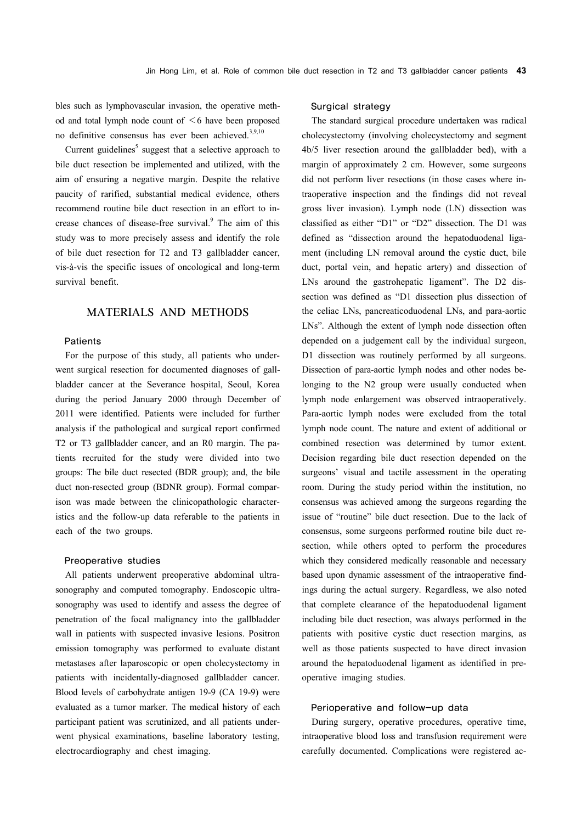bles such as lymphovascular invasion, the operative method and total lymph node count of  $\leq 6$  have been proposed no definitive consensus has ever been achieved. $3,9,10$ 

Current guidelines<sup>5</sup> suggest that a selective approach to bile duct resection be implemented and utilized, with the aim of ensuring a negative margin. Despite the relative paucity of rarified, substantial medical evidence, others recommend routine bile duct resection in an effort to increase chances of disease-free survival.<sup>9</sup> The aim of this study was to more precisely assess and identify the role of bile duct resection for T2 and T3 gallbladder cancer, vis-à-vis the specific issues of oncological and long-term survival benefit.

## MATERIALS AND METHODS

## Patients

For the purpose of this study, all patients who underwent surgical resection for documented diagnoses of gallbladder cancer at the Severance hospital, Seoul, Korea during the period January 2000 through December of 2011 were identified. Patients were included for further analysis if the pathological and surgical report confirmed T2 or T3 gallbladder cancer, and an R0 margin. The patients recruited for the study were divided into two groups: The bile duct resected (BDR group); and, the bile duct non-resected group (BDNR group). Formal comparison was made between the clinicopathologic characteristics and the follow-up data referable to the patients in each of the two groups.

#### Preoperative studies

All patients underwent preoperative abdominal ultrasonography and computed tomography. Endoscopic ultrasonography was used to identify and assess the degree of penetration of the focal malignancy into the gallbladder wall in patients with suspected invasive lesions. Positron emission tomography was performed to evaluate distant metastases after laparoscopic or open cholecystectomy in patients with incidentally-diagnosed gallbladder cancer. Blood levels of carbohydrate antigen 19-9 (CA 19-9) were evaluated as a tumor marker. The medical history of each participant patient was scrutinized, and all patients underwent physical examinations, baseline laboratory testing, electrocardiography and chest imaging.

#### Surgical strategy

The standard surgical procedure undertaken was radical cholecystectomy (involving cholecystectomy and segment 4b/5 liver resection around the gallbladder bed), with a margin of approximately 2 cm. However, some surgeons did not perform liver resections (in those cases where intraoperative inspection and the findings did not reveal gross liver invasion). Lymph node (LN) dissection was classified as either "D1" or "D2" dissection. The D1 was defined as "dissection around the hepatoduodenal ligament (including LN removal around the cystic duct, bile duct, portal vein, and hepatic artery) and dissection of LNs around the gastrohepatic ligament". The D2 dissection was defined as "D1 dissection plus dissection of the celiac LNs, pancreaticoduodenal LNs, and para-aortic LNs". Although the extent of lymph node dissection often depended on a judgement call by the individual surgeon, D1 dissection was routinely performed by all surgeons. Dissection of para-aortic lymph nodes and other nodes belonging to the N2 group were usually conducted when lymph node enlargement was observed intraoperatively. Para-aortic lymph nodes were excluded from the total lymph node count. The nature and extent of additional or combined resection was determined by tumor extent. Decision regarding bile duct resection depended on the surgeons' visual and tactile assessment in the operating room. During the study period within the institution, no consensus was achieved among the surgeons regarding the issue of "routine" bile duct resection. Due to the lack of consensus, some surgeons performed routine bile duct resection, while others opted to perform the procedures which they considered medically reasonable and necessary based upon dynamic assessment of the intraoperative findings during the actual surgery. Regardless, we also noted that complete clearance of the hepatoduodenal ligament including bile duct resection, was always performed in the patients with positive cystic duct resection margins, as well as those patients suspected to have direct invasion around the hepatoduodenal ligament as identified in preoperative imaging studies.

#### Perioperative and follow-up data

During surgery, operative procedures, operative time, intraoperative blood loss and transfusion requirement were carefully documented. Complications were registered ac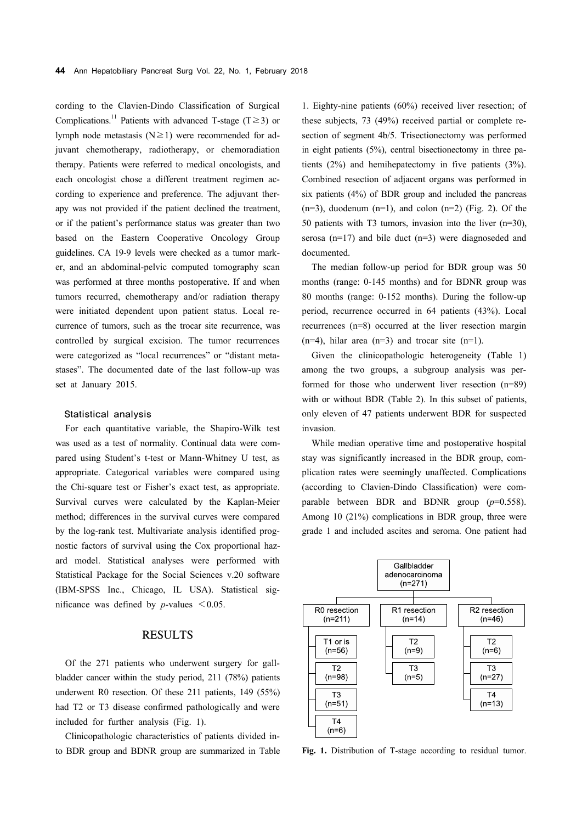cording to the Clavien-Dindo Classification of Surgical Complications.<sup>11</sup> Patients with advanced T-stage (T≥3) or lymph node metastasis ( $N \ge 1$ ) were recommended for adjuvant chemotherapy, radiotherapy, or chemoradiation therapy. Patients were referred to medical oncologists, and each oncologist chose a different treatment regimen according to experience and preference. The adjuvant therapy was not provided if the patient declined the treatment, or if the patient's performance status was greater than two based on the Eastern Cooperative Oncology Group guidelines. CA 19-9 levels were checked as a tumor marker, and an abdominal-pelvic computed tomography scan was performed at three months postoperative. If and when tumors recurred, chemotherapy and/or radiation therapy were initiated dependent upon patient status. Local recurrence of tumors, such as the trocar site recurrence, was controlled by surgical excision. The tumor recurrences were categorized as "local recurrences" or "distant metastases". The documented date of the last follow-up was set at January 2015.

#### Statistical analysis

For each quantitative variable, the Shapiro-Wilk test was used as a test of normality. Continual data were compared using Student's t-test or Mann-Whitney U test, as appropriate. Categorical variables were compared using the Chi-square test or Fisher's exact test, as appropriate. Survival curves were calculated by the Kaplan-Meier method; differences in the survival curves were compared by the log-rank test. Multivariate analysis identified prognostic factors of survival using the Cox proportional hazard model. Statistical analyses were performed with Statistical Package for the Social Sciences v.20 software (IBM-SPSS Inc., Chicago, IL USA). Statistical significance was defined by *p*-values  $\leq 0.05$ .

## RESULTS

Of the 271 patients who underwent surgery for gallbladder cancer within the study period, 211 (78%) patients underwent R0 resection. Of these 211 patients, 149 (55%) had T2 or T3 disease confirmed pathologically and were included for further analysis (Fig. 1).

Clinicopathologic characteristics of patients divided into BDR group and BDNR group are summarized in Table

1. Eighty-nine patients (60%) received liver resection; of these subjects, 73 (49%) received partial or complete resection of segment 4b/5. Trisectionectomy was performed in eight patients (5%), central bisectionectomy in three patients (2%) and hemihepatectomy in five patients (3%). Combined resection of adjacent organs was performed in six patients (4%) of BDR group and included the pancreas  $(n=3)$ , duodenum  $(n=1)$ , and colon  $(n=2)$  (Fig. 2). Of the 50 patients with T3 tumors, invasion into the liver (n=30), serosa (n=17) and bile duct (n=3) were diagnoseded and documented.

The median follow-up period for BDR group was 50 months (range: 0-145 months) and for BDNR group was 80 months (range: 0-152 months). During the follow-up period, recurrence occurred in 64 patients (43%). Local recurrences (n=8) occurred at the liver resection margin  $(n=4)$ , hilar area  $(n=3)$  and trocar site  $(n=1)$ .

Given the clinicopathologic heterogeneity (Table 1) among the two groups, a subgroup analysis was performed for those who underwent liver resection (n=89) with or without BDR (Table 2). In this subset of patients, only eleven of 47 patients underwent BDR for suspected invasion.

While median operative time and postoperative hospital stay was significantly increased in the BDR group, complication rates were seemingly unaffected. Complications (according to Clavien-Dindo Classification) were comparable between BDR and BDNR group (*p*=0.558). Among 10 (21%) complications in BDR group, three were grade 1 and included ascites and seroma. One patient had



**Fig. 1.** Distribution of T-stage according to residual tumor.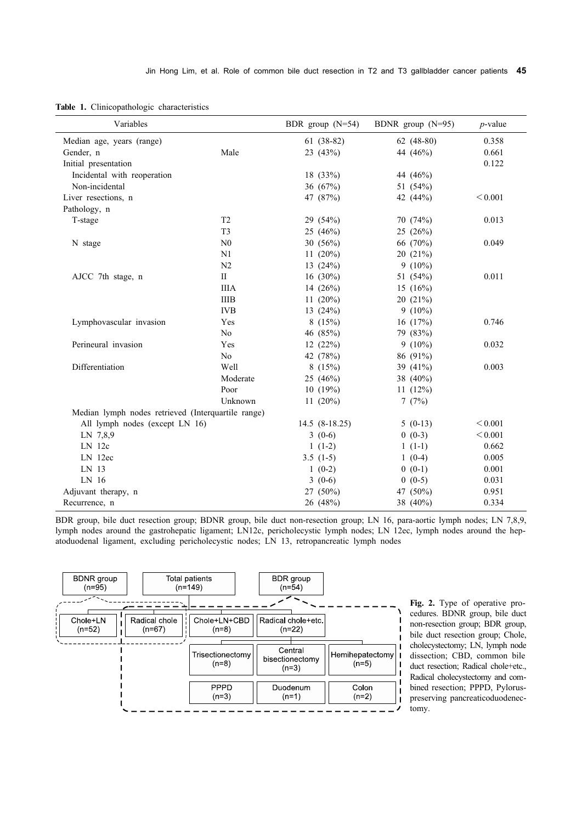|  | Table 1. Clinicopathologic characteristics |  |
|--|--------------------------------------------|--|
|  |                                            |  |

| Variables                                          |                                 | BDR group $(N=54)$ | BDNR group $(N=95)$ | $p$ -value   |
|----------------------------------------------------|---------------------------------|--------------------|---------------------|--------------|
| Median age, years (range)                          |                                 | $61(38-82)$        | $62(48-80)$         | 0.358        |
| Gender, n                                          | Male                            | 23 (43%)           | 44 (46%)            | 0.661        |
| Initial presentation                               |                                 |                    |                     | 0.122        |
| Incidental with reoperation                        |                                 | 18 (33%)           | 44 (46%)            |              |
| Non-incidental                                     |                                 | 36 (67%)           | 51 (54%)            |              |
| Liver resections, n                                |                                 | 47 (87%)           | 42 (44%)            | < 0.001      |
| Pathology, n                                       |                                 |                    |                     |              |
| T-stage                                            | T <sub>2</sub>                  | 29 (54%)           | 70(74%)             | 0.013        |
|                                                    | T <sub>3</sub>                  | 25 (46%)           | 25(26%)             |              |
| N stage                                            | N <sub>0</sub>                  | 30 (56%)           | 66 (70%)            | 0.049        |
|                                                    | N1                              | 11 $(20\%)$        | 20(21%)             |              |
|                                                    | N <sub>2</sub>                  | 13 $(24%)$         | $9(10\%)$           |              |
| AJCC 7th stage, n                                  | $\mathop{\mathrm{II}}\nolimits$ | 16 $(30\%)$        | 51 (54%)            | 0.011        |
|                                                    | <b>IIIA</b>                     | 14 $(26%)$         | 15 $(16%)$          |              |
|                                                    | <b>IIIB</b>                     | 11 $(20\%)$        | 20(21%)             |              |
|                                                    | <b>IVB</b>                      | 13 $(24%)$         | $9(10\%)$           |              |
| Lymphovascular invasion                            | Yes                             | 8(15%)             | 16 (17%)            | 0.746        |
|                                                    | No                              | 46 (85%)           | 79 (83%)            |              |
| Perineural invasion                                | Yes                             | 12(22%)            | $9(10\%)$           | 0.032        |
|                                                    | No                              | 42 (78%)           | 86 (91%)            |              |
| Differentiation                                    | Well                            | 8(15%)             | 39 $(41\%)$         | 0.003        |
|                                                    | Moderate                        | 25 (46%)           | 38 (40%)            |              |
|                                                    | Poor                            | 10(19%)            | 11 $(12%)$          |              |
|                                                    | Unknown                         | 11 $(20\%)$        | 7 $(7%)$            |              |
| Median lymph nodes retrieved (Interquartile range) |                                 |                    |                     |              |
| All lymph nodes (except LN 16)                     |                                 | $14.5(8-18.25)$    | $5(0-13)$           | ${}_{0.001}$ |
| LN 7,8,9                                           |                                 | $3(0-6)$           | $0(0-3)$            | < 0.001      |
| LN <sub>12c</sub>                                  |                                 | $1(1-2)$           | $1(1-1)$            | 0.662        |
| LN 12ec                                            |                                 | $3.5(1-5)$         | $1(0-4)$            | 0.005        |
| LN 13                                              |                                 | $1(0-2)$           | $0(0-1)$            | 0.001        |
| LN 16                                              |                                 | $3(0-6)$           | $0(0-5)$            | 0.031        |
| Adjuvant therapy, n                                |                                 | $27(50\%)$         | 47 (50%)            | 0.951        |
| Recurrence, n                                      |                                 | 26 (48%)           | 38 (40%)            | 0.334        |

BDR group, bile duct resection group; BDNR group, bile duct non-resection group; LN 16, para-aortic lymph nodes; LN 7,8,9, lymph nodes around the gastrohepatic ligament; LN12c, pericholecystic lymph nodes; LN 12ec, lymph nodes around the hepatoduodenal ligament, excluding pericholecystic nodes; LN 13, retropancreatic lymph nodes



**Fig. 2.** Type of operative procedures. BDNR group, bile duct non-resection group; BDR group, bile duct resection group; Chole, cholecystectomy; LN, lymph node dissection; CBD, common bile duct resection; Radical chole+etc., Radical cholecystectomy and combined resection; PPPD, Pyloruspreserving pancreaticoduodenectomy.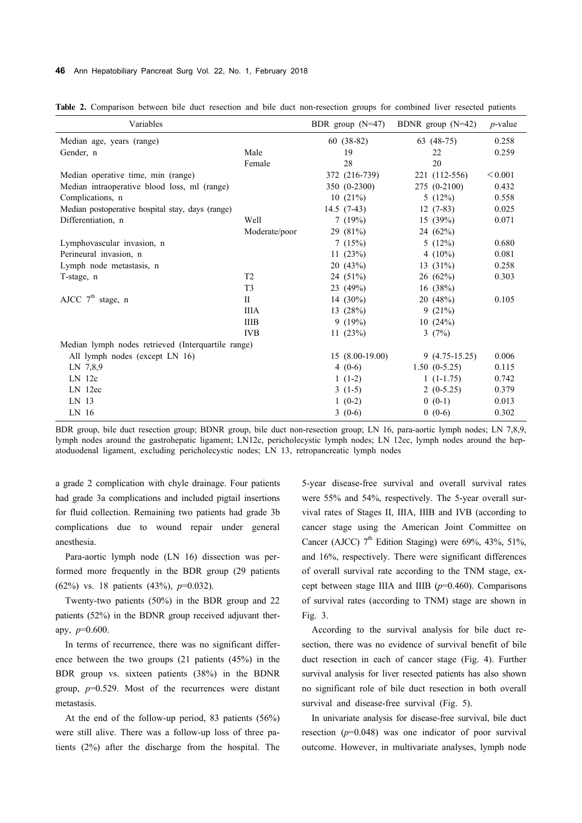#### **46** Ann Hepatobiliary Pancreat Surg Vol. 22, No. 1, February 2018

| Variables                                          |                |  | BDR group $(N=47)$ |  | BDNR group $(N=42)$ | $p$ -value |
|----------------------------------------------------|----------------|--|--------------------|--|---------------------|------------|
| Median age, years (range)                          |                |  | $60(38-82)$        |  | 63 (48-75)          | 0.258      |
| Gender, n                                          | Male           |  | 19                 |  | 22                  | 0.259      |
|                                                    | Female         |  | 28                 |  | 20                  |            |
| Median operative time, min (range)                 |                |  | 372 (216-739)      |  | 221 (112-556)       | < 0.001    |
| Median intraoperative blood loss, ml (range)       |                |  | 350 (0-2300)       |  | 275 (0-2100)        | 0.432      |
| Complications, n                                   |                |  | 10(21%)            |  | 5(12%)              | 0.558      |
| Median postoperative hospital stay, days (range)   |                |  | $14.5(7-43)$       |  | $12(7-83)$          | 0.025      |
| Differentiation, n                                 | Well           |  | 7(19%)             |  | 15(39%)             | 0.071      |
|                                                    | Moderate/poor  |  | 29 (81%)           |  | 24 (62%)            |            |
| Lymphovascular invasion, n                         |                |  | 7(15%)             |  | 5(12%)              | 0.680      |
| Perineural invasion, n                             |                |  | 11 $(23%)$         |  | 4 $(10\%)$          | 0.081      |
| Lymph node metastasis, n                           |                |  | 20(43%)            |  | 13 $(31\%)$         | 0.258      |
| T-stage, n                                         | T <sub>2</sub> |  | 24 (51%)           |  | 26(62%)             | 0.303      |
|                                                    | T <sub>3</sub> |  | 23 (49%)           |  | 16(38%)             |            |
| AJCC $7^{\text{th}}$ stage, n                      | П              |  | 14 $(30\%)$        |  | 20(48%)             | 0.105      |
|                                                    | <b>IIIA</b>    |  | 13 (28%)           |  | 9(21%)              |            |
|                                                    | <b>IIIB</b>    |  | 9(19%)             |  | 10(24%)             |            |
|                                                    | <b>IVB</b>     |  | 11(23%)            |  | 3(7%)               |            |
| Median lymph nodes retrieved (Interquartile range) |                |  |                    |  |                     |            |
| All lymph nodes (except LN 16)                     |                |  | $15(8.00-19.00)$   |  | $9(4.75-15.25)$     | 0.006      |
| LN 7,8,9                                           |                |  | $4(0-6)$           |  | $1.50(0-5.25)$      | 0.115      |
| $LN$ 12 $c$                                        |                |  | $1(1-2)$           |  | $1(1-1.75)$         | 0.742      |
| LN 12ec                                            |                |  | $3(1-5)$           |  | $2(0-5.25)$         | 0.379      |
| LN 13                                              |                |  | $1(0-2)$           |  | $0(0-1)$            | 0.013      |
| LN 16                                              |                |  | $3(0-6)$           |  | $0(0-6)$            | 0.302      |

**Table 2.** Comparison between bile duct resection and bile duct non-resection groups for combined liver resected patients

BDR group, bile duct resection group; BDNR group, bile duct non-resection group; LN 16, para-aortic lymph nodes; LN 7,8,9, lymph nodes around the gastrohepatic ligament; LN12c, pericholecystic lymph nodes; LN 12ec, lymph nodes around the hepatoduodenal ligament, excluding pericholecystic nodes; LN 13, retropancreatic lymph nodes

a grade 2 complication with chyle drainage. Four patients had grade 3a complications and included pigtail insertions for fluid collection. Remaining two patients had grade 3b complications due to wound repair under general anesthesia.

Para-aortic lymph node (LN 16) dissection was performed more frequently in the BDR group (29 patients (62%) vs. 18 patients (43%), *p*=0.032).

Twenty-two patients (50%) in the BDR group and 22 patients (52%) in the BDNR group received adjuvant therapy, *p*=0.600.

In terms of recurrence, there was no significant difference between the two groups (21 patients (45%) in the BDR group vs. sixteen patients (38%) in the BDNR group, *p*=0.529. Most of the recurrences were distant metastasis.

At the end of the follow-up period, 83 patients (56%) were still alive. There was a follow-up loss of three patients (2%) after the discharge from the hospital. The 5-year disease-free survival and overall survival rates were 55% and 54%, respectively. The 5-year overall survival rates of Stages II, IIIA, IIIB and IVB (according to cancer stage using the American Joint Committee on Cancer (AJCC)  $7<sup>th</sup>$  Edition Staging) were 69%, 43%, 51%, and 16%, respectively. There were significant differences of overall survival rate according to the TNM stage, except between stage IIIA and IIIB (*p*=0.460). Comparisons of survival rates (according to TNM) stage are shown in Fig. 3.

According to the survival analysis for bile duct resection, there was no evidence of survival benefit of bile duct resection in each of cancer stage (Fig. 4). Further survival analysis for liver resected patients has also shown no significant role of bile duct resection in both overall survival and disease-free survival (Fig. 5).

In univariate analysis for disease-free survival, bile duct resection (*p*=0.048) was one indicator of poor survival outcome. However, in multivariate analyses, lymph node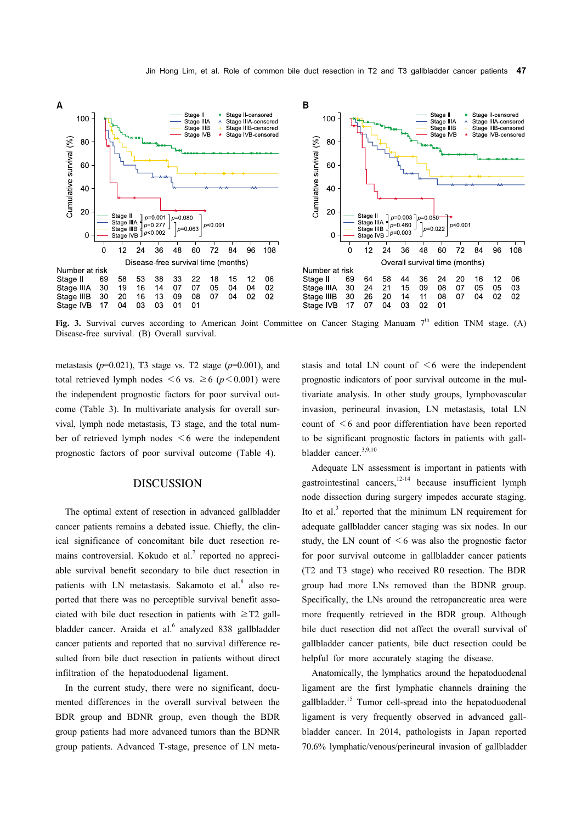

Fig. 3. Survival curves according to American Joint Committee on Cancer Staging Manuam 7<sup>th</sup> edition TNM stage. (A) Disease-free survival. (B) Overall survival.

metastasis (*p*=0.021), T3 stage vs. T2 stage (*p*=0.001), and total retrieved lymph nodes  $\leq 6$  vs.  $\geq 6$  ( $p \leq 0.001$ ) were the independent prognostic factors for poor survival outcome (Table 3). In multivariate analysis for overall survival, lymph node metastasis, T3 stage, and the total number of retrieved lymph nodes  $\leq 6$  were the independent prognostic factors of poor survival outcome (Table 4).

## DISCUSSION

The optimal extent of resection in advanced gallbladder cancer patients remains a debated issue. Chiefly, the clinical significance of concomitant bile duct resection remains controversial. Kokudo et al. $^7$  reported no appreciable survival benefit secondary to bile duct resection in patients with LN metastasis. Sakamoto et al.<sup>8</sup> also reported that there was no perceptible survival benefit associated with bile duct resection in patients with  $\geq$ T2 gallbladder cancer. Araida et al.<sup>6</sup> analyzed 838 gallbladder cancer patients and reported that no survival difference resulted from bile duct resection in patients without direct infiltration of the hepatoduodenal ligament.

In the current study, there were no significant, documented differences in the overall survival between the BDR group and BDNR group, even though the BDR group patients had more advanced tumors than the BDNR group patients. Advanced T-stage, presence of LN metastasis and total LN count of  $\leq 6$  were the independent prognostic indicators of poor survival outcome in the multivariate analysis. In other study groups, lymphovascular invasion, perineural invasion, LN metastasis, total LN count of  $\leq 6$  and poor differentiation have been reported to be significant prognostic factors in patients with gallbladder cancer.<sup>3,9,10</sup>

Adequate LN assessment is important in patients with gastrointestinal cancers,<sup>12-14</sup> because insufficient lymph node dissection during surgery impedes accurate staging. Ito et al. $3$  reported that the minimum LN requirement for adequate gallbladder cancer staging was six nodes. In our study, the LN count of  $\leq 6$  was also the prognostic factor for poor survival outcome in gallbladder cancer patients (T2 and T3 stage) who received R0 resection. The BDR group had more LNs removed than the BDNR group. Specifically, the LNs around the retropancreatic area were more frequently retrieved in the BDR group. Although bile duct resection did not affect the overall survival of gallbladder cancer patients, bile duct resection could be helpful for more accurately staging the disease.

Anatomically, the lymphatics around the hepatoduodenal ligament are the first lymphatic channels draining the gallbladder.15 Tumor cell-spread into the hepatoduodenal ligament is very frequently observed in advanced gallbladder cancer. In 2014, pathologists in Japan reported 70.6% lymphatic/venous/perineural invasion of gallbladder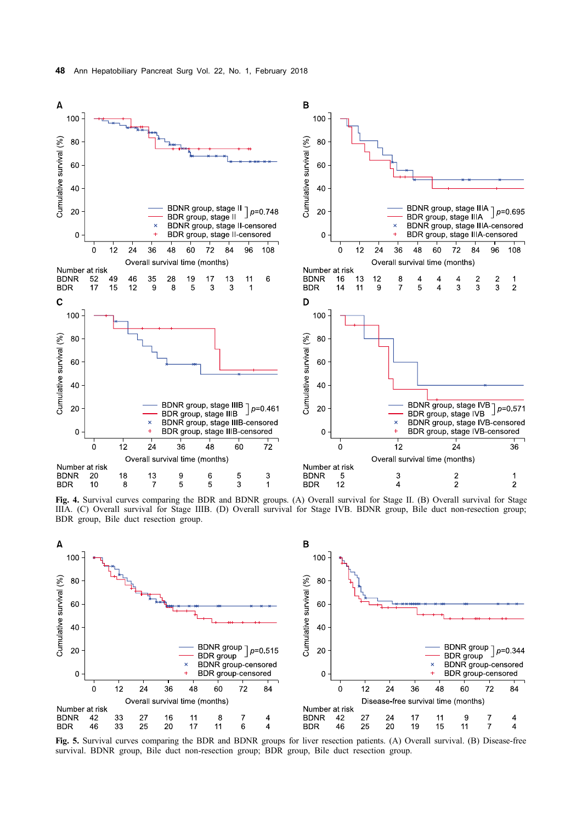

**Fig. 4.** Survival curves comparing the BDR and BDNR groups. (A) Overall survival for Stage II. (B) Overall survival for Stage IIIA. (C) Overall survival for Stage IIIB. (D) Overall survival for Stage IVB. BDNR group, Bile duct non-resection group; BDR group, Bile duct resection group.



**Fig. 5.** Survival curves comparing the BDR and BDNR groups for liver resection patients. (A) Overall survival. (B) Disease-free survival. BDNR group, Bile duct non-resection group; BDR group, Bile duct resection group.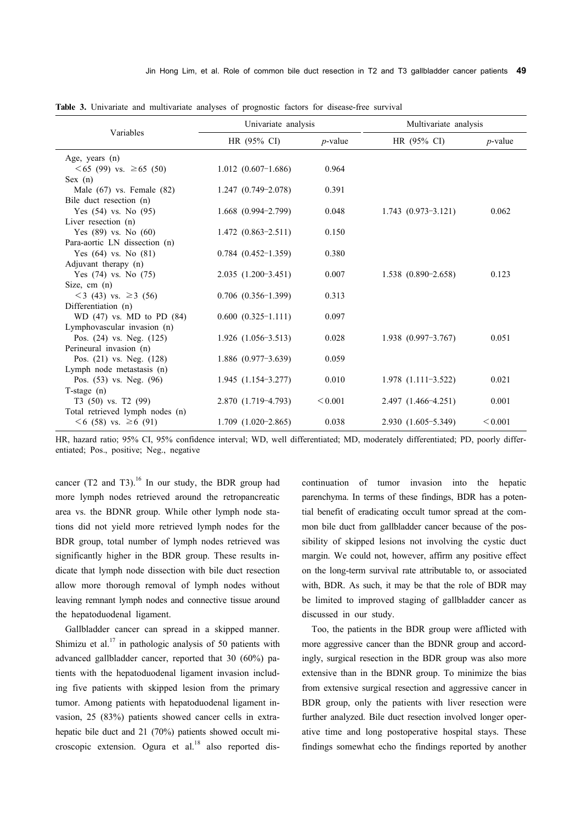| Variables                         | Univariate analysis       |            | Multivariate analysis   |            |  |
|-----------------------------------|---------------------------|------------|-------------------------|------------|--|
|                                   | HR $(95\% \text{ CI})$    | $p$ -value | $HR (95\% CI)$          | $p$ -value |  |
| Age, years $(n)$                  |                           |            |                         |            |  |
| $\leq 65$ (99) vs. $\geq 65$ (50) | $1.012$ $(0.607-1.686)$   | 0.964      |                         |            |  |
| Sex (n)                           |                           |            |                         |            |  |
| Male $(67)$ vs. Female $(82)$     | $1.247(0.749-2.078)$      | 0.391      |                         |            |  |
| Bile duct resection (n)           |                           |            |                         |            |  |
| Yes $(54)$ vs. No $(95)$          | $1.668$ $(0.994 - 2.799)$ | 0.048      | $1.743$ $(0.973-3.121)$ | 0.062      |  |
| Liver resection $(n)$             |                           |            |                         |            |  |
| Yes $(89)$ vs. No $(60)$          | $1.472(0.863-2.511)$      | 0.150      |                         |            |  |
| Para-aortic LN dissection (n)     |                           |            |                         |            |  |
| Yes $(64)$ vs. No $(81)$          | $0.784$ $(0.452-1.359)$   | 0.380      |                         |            |  |
| Adjuvant therapy (n)              |                           |            |                         |            |  |
| Yes $(74)$ vs. No $(75)$          | $2.035(1.200-3.451)$      | 0.007      | $1.538$ $(0.890-2.658)$ | 0.123      |  |
| Size, cm (n)                      |                           |            |                         |            |  |
| $<$ 3 (43) vs. $\geq$ 3 (56)      | $0.706$ $(0.356-1.399)$   | 0.313      |                         |            |  |
| Differentiation (n)               |                           |            |                         |            |  |
| $WD (47)$ vs. MD to PD $(84)$     | $0.600(0.325-1.111)$      | 0.097      |                         |            |  |
| Lymphovascular invasion (n)       |                           |            |                         |            |  |
| Pos. $(24)$ vs. Neg. $(125)$      | $1.926$ $(1.056-3.513)$   | 0.028      | $1.938(0.997-3.767)$    | 0.051      |  |
| Perineural invasion (n)           |                           |            |                         |            |  |
| Pos. (21) vs. Neg. (128)          | $1.886$ (0.977-3.639)     | 0.059      |                         |            |  |
| Lymph node metastasis (n)         |                           |            |                         |            |  |
| Pos. (53) vs. Neg. (96)           | $1.945(1.154-3.277)$      | 0.010      | $1.978$ $(1.111-3.522)$ | 0.021      |  |
| $T$ -stage $(n)$                  |                           |            |                         |            |  |
| T3 (50) vs. T2 (99)               | 2.870 (1.719-4.793)       | < 0.001    | 2.497 (1.466-4.251)     | 0.001      |  |
| Total retrieved lymph nodes (n)   | $1.709$ $(1.020-2.865)$   | 0.038      | 2.930 (1.605-5.349)     | < 0.001    |  |
| $\leq 6$ (58) vs. $\geq 6$ (91)   |                           |            |                         |            |  |

**Table 3.** Univariate and multivariate analyses of prognostic factors for disease-free survival

HR, hazard ratio; 95% CI, 95% confidence interval; WD, well differentiated; MD, moderately differentiated; PD, poorly differentiated; Pos., positive; Neg., negative

cancer (T2 and T3).<sup>16</sup> In our study, the BDR group had more lymph nodes retrieved around the retropancreatic area vs. the BDNR group. While other lymph node stations did not yield more retrieved lymph nodes for the BDR group, total number of lymph nodes retrieved was significantly higher in the BDR group. These results indicate that lymph node dissection with bile duct resection allow more thorough removal of lymph nodes without leaving remnant lymph nodes and connective tissue around the hepatoduodenal ligament.

Gallbladder cancer can spread in a skipped manner. Shimizu et al.<sup>17</sup> in pathologic analysis of 50 patients with advanced gallbladder cancer, reported that 30 (60%) patients with the hepatoduodenal ligament invasion including five patients with skipped lesion from the primary tumor. Among patients with hepatoduodenal ligament invasion, 25 (83%) patients showed cancer cells in extrahepatic bile duct and 21 (70%) patients showed occult microscopic extension. Ogura et al. $18$  also reported discontinuation of tumor invasion into the hepatic parenchyma. In terms of these findings, BDR has a potential benefit of eradicating occult tumor spread at the common bile duct from gallbladder cancer because of the possibility of skipped lesions not involving the cystic duct margin. We could not, however, affirm any positive effect on the long-term survival rate attributable to, or associated with, BDR. As such, it may be that the role of BDR may be limited to improved staging of gallbladder cancer as discussed in our study.

Too, the patients in the BDR group were afflicted with more aggressive cancer than the BDNR group and accordingly, surgical resection in the BDR group was also more extensive than in the BDNR group. To minimize the bias from extensive surgical resection and aggressive cancer in BDR group, only the patients with liver resection were further analyzed. Bile duct resection involved longer operative time and long postoperative hospital stays. These findings somewhat echo the findings reported by another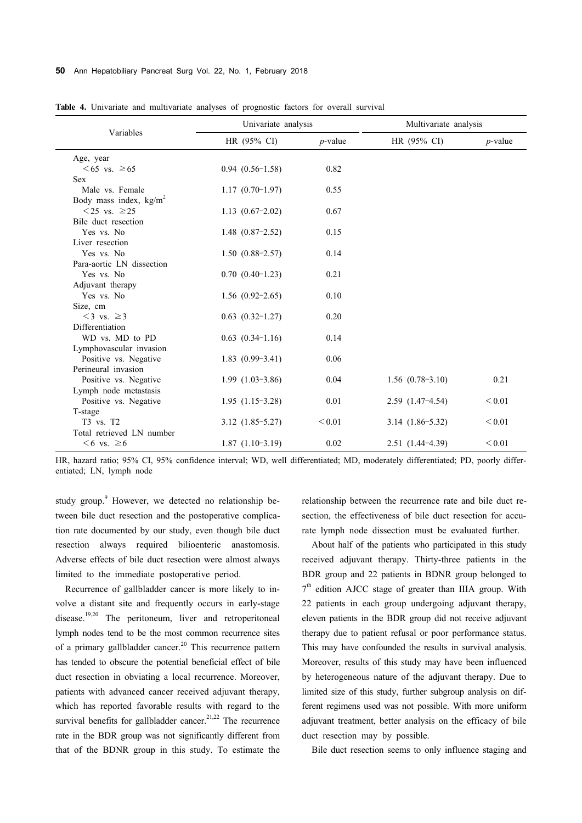#### **50** Ann Hepatobiliary Pancreat Surg Vol. 22, No. 1, February 2018

|                                           | Univariate analysis  |            | Multivariate analysis |            |  |
|-------------------------------------------|----------------------|------------|-----------------------|------------|--|
| Variables                                 | $HR (95\% CI)$       | $p$ -value | $HR (95\% CI)$        | $p$ -value |  |
| Age, year                                 |                      |            |                       |            |  |
| $< 65$ vs. ≥65                            | $0.94(0.56-1.58)$    | 0.82       |                       |            |  |
| <b>Sex</b>                                |                      |            |                       |            |  |
| Male vs. Female                           | $1.17(0.70-1.97)$    | 0.55       |                       |            |  |
| Body mass index, $kg/m2$                  |                      |            |                       |            |  |
| $\langle 25 \text{ vs. } \geq 25 \rangle$ | $1.13(0.67-2.02)$    | 0.67       |                       |            |  |
| Bile duct resection                       |                      |            |                       |            |  |
| Yes vs. No                                | $1.48(0.87-2.52)$    | 0.15       |                       |            |  |
| Liver resection                           |                      |            |                       |            |  |
| Yes vs. No                                | $1.50(0.88-2.57)$    | 0.14       |                       |            |  |
| Para-aortic LN dissection                 |                      |            |                       |            |  |
| Yes vs. No                                | $0.70(0.40-1.23)$    | 0.21       |                       |            |  |
| Adjuvant therapy                          |                      |            |                       |            |  |
| Yes vs. No                                | $1.56$ $(0.92-2.65)$ | 0.10       |                       |            |  |
| Size, cm                                  |                      |            |                       |            |  |
| $\leq$ 3 vs. $\geq$ 3                     | $0.63$ $(0.32-1.27)$ | 0.20       |                       |            |  |
| Differentiation                           |                      |            |                       |            |  |
| WD vs. MD to PD                           | $0.63(0.34-1.16)$    | 0.14       |                       |            |  |
| Lymphovascular invasion                   |                      |            |                       |            |  |
| Positive vs. Negative                     | $1.83$ $(0.99-3.41)$ | 0.06       |                       |            |  |
| Perineural invasion                       |                      |            |                       |            |  |
| Positive vs. Negative                     | $1.99(1.03-3.86)$    | 0.04       | $1.56(0.78-3.10)$     | 0.21       |  |
| Lymph node metastasis                     |                      |            |                       |            |  |
| Positive vs. Negative                     | $1.95(1.15-3.28)$    | 0.01       | $2.59$ $(1.47-4.54)$  | < 0.01     |  |
| T-stage                                   |                      |            |                       |            |  |
| T3 vs. T2                                 | $3.12(1.85-5.27)$    | < 0.01     | $3.14(1.86-5.32)$     | < 0.01     |  |
| Total retrieved LN number                 |                      |            |                       |            |  |
| $<6$ vs. $\geq 6$                         | $1.87(1.10-3.19)$    | 0.02       | $2.51(1.44-4.39)$     | < 0.01     |  |

**Table 4.** Univariate and multivariate analyses of prognostic factors for overall survival

HR, hazard ratio; 95% CI, 95% confidence interval; WD, well differentiated; MD, moderately differentiated; PD, poorly differentiated; LN, lymph node

study group.<sup>9</sup> However, we detected no relationship between bile duct resection and the postoperative complication rate documented by our study, even though bile duct resection always required bilioenteric anastomosis. Adverse effects of bile duct resection were almost always limited to the immediate postoperative period.

Recurrence of gallbladder cancer is more likely to involve a distant site and frequently occurs in early-stage disease.<sup>19,20</sup> The peritoneum, liver and retroperitoneal lymph nodes tend to be the most common recurrence sites of a primary gallbladder cancer.<sup>20</sup> This recurrence pattern has tended to obscure the potential beneficial effect of bile duct resection in obviating a local recurrence. Moreover, patients with advanced cancer received adjuvant therapy, which has reported favorable results with regard to the survival benefits for gallbladder cancer.<sup>21,22</sup> The recurrence rate in the BDR group was not significantly different from that of the BDNR group in this study. To estimate the

relationship between the recurrence rate and bile duct resection, the effectiveness of bile duct resection for accurate lymph node dissection must be evaluated further.

About half of the patients who participated in this study received adjuvant therapy. Thirty-three patients in the BDR group and 22 patients in BDNR group belonged to 7<sup>th</sup> edition AJCC stage of greater than IIIA group. With 22 patients in each group undergoing adjuvant therapy, eleven patients in the BDR group did not receive adjuvant therapy due to patient refusal or poor performance status. This may have confounded the results in survival analysis. Moreover, results of this study may have been influenced by heterogeneous nature of the adjuvant therapy. Due to limited size of this study, further subgroup analysis on different regimens used was not possible. With more uniform adjuvant treatment, better analysis on the efficacy of bile duct resection may by possible.

Bile duct resection seems to only influence staging and